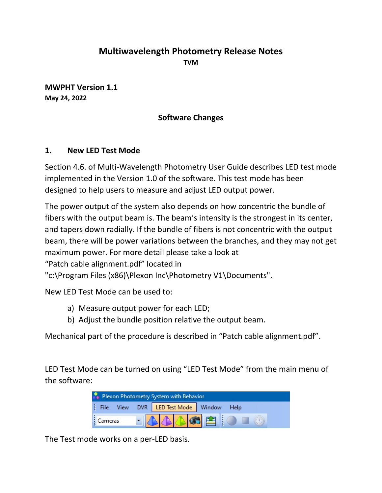# **Multiwavelength Photometry Release Notes**

**TVM**

**MWPHT Version 1.1 May 24, 2022**

## **Software Changes**

### **1. New LED Test Mode**

Section 4.6. of Multi-Wavelength Photometry User Guide describes LED test mode implemented in the Version 1.0 of the software. This test mode has been designed to help users to measure and adjust LED output power.

The power output of the system also depends on how concentric the bundle of fibers with the output beam is. The beam's intensity is the strongest in its center, and tapers down radially. If the bundle of fibers is not concentric with the output beam, there will be power variations between the branches, and they may not get maximum power. For more detail please take a look at "Patch cable alignment.pdf" located in

"c:\Program Files (x86)\Plexon Inc\Photometry V1\Documents".

New LED Test Mode can be used to:

- a) Measure output power for each LED;
- b) Adjust the bundle position relative the output beam.

Mechanical part of the procedure is described in "Patch cable alignment.pdf".

LED Test Mode can be turned on using "LED Test Mode" from the main menu of the software:

| Plexon Photometry System with Behavior |                                         |  |  |  |  |  |  |
|----------------------------------------|-----------------------------------------|--|--|--|--|--|--|
|                                        | File View DVR LED Test Mode Window Help |  |  |  |  |  |  |
| Cameras                                | AAA6EIO T0                              |  |  |  |  |  |  |

The Test mode works on a per-LED basis.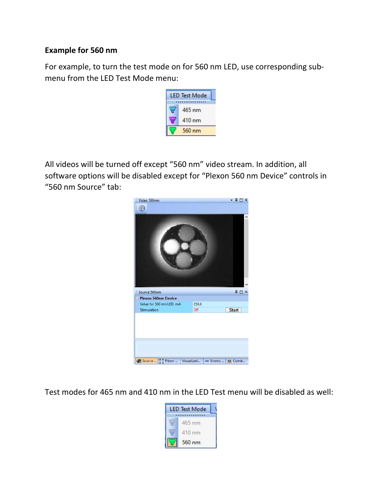#### **Example for 560 nm**

For example, to turn the test mode on for 560 nm LED, use corresponding submenu from the LED Test Mode menu:



All videos will be turned off except "560 nm" video stream. In addition, all software options will be disabled except for "Plexon 560 nm Device" controls in "560 nm Source" tab:



Test modes for 465 nm and 410 nm in the LED Test menu will be disabled as well:

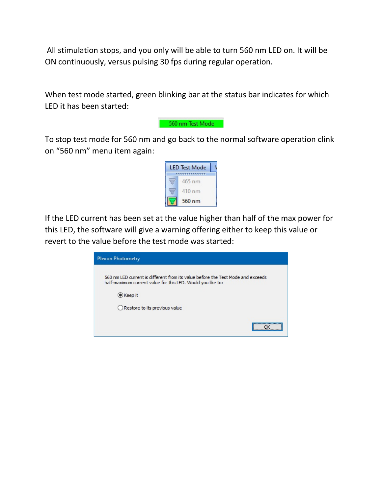All stimulation stops, and you only will be able to turn 560 nm LED on. It will be ON continuously, versus pulsing 30 fps during regular operation.

When test mode started, green blinking bar at the status bar indicates for which LED it has been started:



To stop test mode for 560 nm and go back to the normal software operation clink on "560 nm" menu item again:



If the LED current has been set at the value higher than half of the max power for this LED, the software will give a warning offering either to keep this value or revert to the value before the test mode was started:

| Plexon Photometry                                                                                                                              |  |
|------------------------------------------------------------------------------------------------------------------------------------------------|--|
| 560 nm LED current is different from its value before the Test Mode and exceeds<br>half-maximum current value for this LED. Would you like to: |  |
| C Keep it                                                                                                                                      |  |
| () Restore to its previous value                                                                                                               |  |
|                                                                                                                                                |  |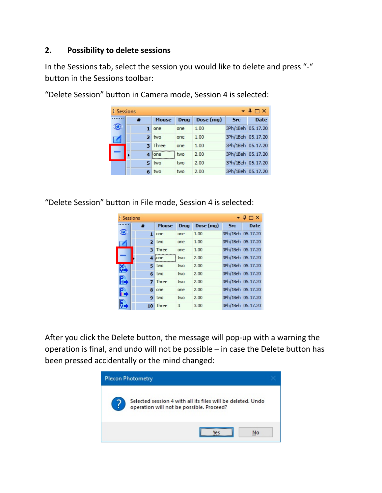## **2. Possibility to delete sessions**

In the Sessions tab, select the session you would like to delete and press "-" button in the Sessions toolbar:

| $H \square X$<br>: Sessions |   |                                  |             |           |                   |             |  |  |  |
|-----------------------------|---|----------------------------------|-------------|-----------|-------------------|-------------|--|--|--|
|                             |   | <b>Mouse</b>                     | <b>Drug</b> | Dose (mg) | <b>Src</b>        | <b>Date</b> |  |  |  |
| $\circledcirc$              | 1 | one                              | one         | 1.00      | 3Ph/1Beh 05.17.20 |             |  |  |  |
|                             |   | $2$ two                          | one         | 1.00      | 3Ph/1Beh 05.17.20 |             |  |  |  |
|                             |   | 3 Three                          | one         | 1.00      | 3Ph/1Beh 05.17.20 |             |  |  |  |
|                             |   | <i>annonomonomona</i><br>4 lione | two         | 2.00      | 3Ph/1Beh 05.17.20 |             |  |  |  |
|                             | 5 | two                              | two         | 2.00      | 3Ph/1Beh 05.17.20 |             |  |  |  |
|                             | 6 | two                              | two         | 2.00      | 3Ph/1Beh 05.17.20 |             |  |  |  |

"Delete Session" button in Camera mode, Session 4 is selected:

"Delete Session" button in File mode, Session 4 is selected:

| $\mathbf{v}$ $\mathbf{u}$ $\mathbf{u}$ $\times$<br>: Sessions |                |              |             |           |                   |             |  |  |
|---------------------------------------------------------------|----------------|--------------|-------------|-----------|-------------------|-------------|--|--|
|                                                               | ×              | <b>Mouse</b> | <b>Drug</b> | Dose (mg) | <b>Src</b>        | <b>Date</b> |  |  |
| $\circledcirc$                                                | 1.             | one          | one         | 1.00      | 3Ph/1Beh 05.17.20 |             |  |  |
|                                                               | $\overline{2}$ | two          | one         | 1.00      | 3Ph/1Beh 05.17.20 |             |  |  |
|                                                               |                | 3 Three      | one         | 1.00      | 3Ph/1Beh 05.17.20 |             |  |  |
|                                                               |                | 4 lone       | two         | 2.00      | 3Ph/1Beh 05.17.20 |             |  |  |
| ŏ,                                                            | 51             | two          | two         | 2.00      | 3Ph/1Beh 05.17.20 |             |  |  |
|                                                               | 6              | two          | two         | 2.00      | 3Ph/1Beh 05.17.20 |             |  |  |
| F)                                                            | $\overline{ }$ | Three        | two         | 2.00      | 3Ph/1Beh 05.17.20 |             |  |  |
| r,                                                            | 8              | one          | one         | 2.00      | 3Ph/1Beh 05.17.20 |             |  |  |
|                                                               | 9              | two          | two         | 2.00      | 3Ph/1Beh 05.17.20 |             |  |  |
|                                                               | 10             | Three        | 3           | 3.00      | 3Ph/1Beh 05.17.20 |             |  |  |

After you click the Delete button, the message will pop-up with a warning the operation is final, and undo will not be possible – in case the Delete button has been pressed accidentally or the mind changed: